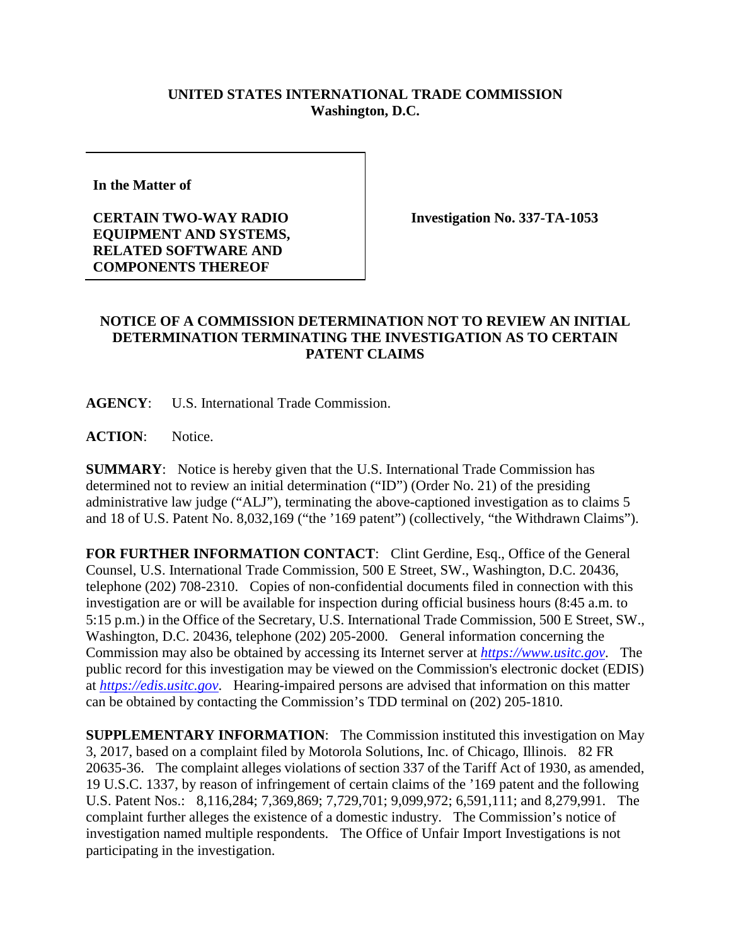## **UNITED STATES INTERNATIONAL TRADE COMMISSION Washington, D.C.**

**In the Matter of** 

**CERTAIN TWO-WAY RADIO EQUIPMENT AND SYSTEMS, RELATED SOFTWARE AND COMPONENTS THEREOF**

**Investigation No. 337-TA-1053**

## **NOTICE OF A COMMISSION DETERMINATION NOT TO REVIEW AN INITIAL DETERMINATION TERMINATING THE INVESTIGATION AS TO CERTAIN PATENT CLAIMS**

**AGENCY**: U.S. International Trade Commission.

**ACTION**: Notice.

**SUMMARY**: Notice is hereby given that the U.S. International Trade Commission has determined not to review an initial determination ("ID") (Order No. 21) of the presiding administrative law judge ("ALJ"), terminating the above-captioned investigation as to claims 5 and 18 of U.S. Patent No. 8,032,169 ("the '169 patent") (collectively, "the Withdrawn Claims").

FOR FURTHER INFORMATION CONTACT: Clint Gerdine, Esq., Office of the General Counsel, U.S. International Trade Commission, 500 E Street, SW., Washington, D.C. 20436, telephone (202) 708-2310. Copies of non-confidential documents filed in connection with this investigation are or will be available for inspection during official business hours (8:45 a.m. to 5:15 p.m.) in the Office of the Secretary, U.S. International Trade Commission, 500 E Street, SW., Washington, D.C. 20436, telephone (202) 205-2000. General information concerning the Commission may also be obtained by accessing its Internet server at *[https://www.usitc.gov](https://www.usitc.gov/)*. The public record for this investigation may be viewed on the Commission's electronic docket (EDIS) at *[https://edis.usitc.gov](https://edis.usitc.gov/)*. Hearing-impaired persons are advised that information on this matter can be obtained by contacting the Commission's TDD terminal on (202) 205-1810.

**SUPPLEMENTARY INFORMATION**: The Commission instituted this investigation on May 3, 2017, based on a complaint filed by Motorola Solutions, Inc. of Chicago, Illinois. 82 FR 20635-36. The complaint alleges violations of section 337 of the Tariff Act of 1930, as amended, 19 U.S.C. 1337, by reason of infringement of certain claims of the '169 patent and the following U.S. Patent Nos.: 8,116,284; 7,369,869; 7,729,701; 9,099,972; 6,591,111; and 8,279,991. The complaint further alleges the existence of a domestic industry. The Commission's notice of investigation named multiple respondents. The Office of Unfair Import Investigations is not participating in the investigation.